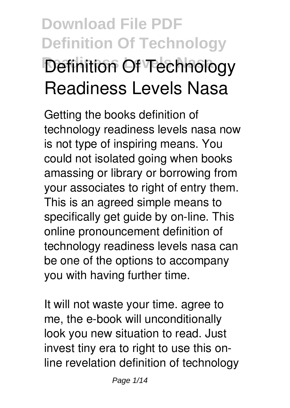# **Download File PDF Definition Of Technology Definition Of Technology Readiness Levels Nasa**

Getting the books **definition of technology readiness levels nasa** now is not type of inspiring means. You could not isolated going when books amassing or library or borrowing from your associates to right of entry them. This is an agreed simple means to specifically get guide by on-line. This online pronouncement definition of technology readiness levels nasa can be one of the options to accompany you with having further time.

It will not waste your time. agree to me, the e-book will unconditionally look you new situation to read. Just invest tiny era to right to use this online revelation **definition of technology**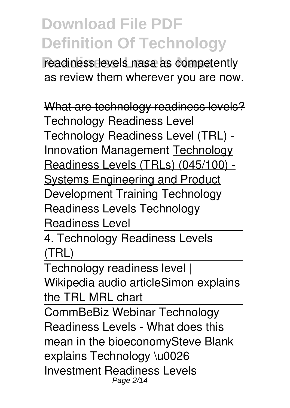readiness levels nasa as competently as review them wherever you are now.

What are technology readiness levels? *Technology Readiness Level Technology Readiness Level (TRL) - Innovation Management* Technology Readiness Levels (TRLs) (045/100) - Systems Engineering and Product Development Training **Technology Readiness Levels** *Technology Readiness Level*

4. Technology Readiness Levels (TRL)

Technology readiness level | Wikipedia audio article*Simon explains the TRL MRL chart*

CommBeBiz Webinar Technology Readiness Levels - What does this mean in the bioeconomy*Steve Blank explains Technology \u0026 Investment Readiness Levels* Page 2/14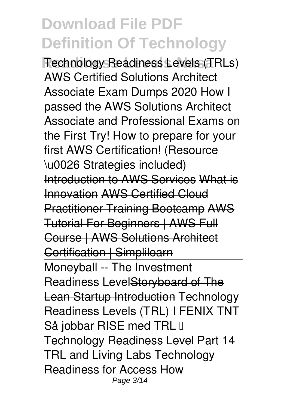**Readiness Levels Nasa** *Technology Readiness Levels (TRLs)* **AWS Certified Solutions Architect Associate Exam Dumps 2020 How I passed the AWS Solutions Architect Associate and Professional Exams on the First Try!** *How to prepare for your first AWS Certification! (Resource \u0026 Strategies included)* Introduction to AWS Services What is Innovation AWS Certified Cloud Practitioner Training Bootcamp AWS Tutorial For Beginners | AWS Full Course | AWS Solutions Architect Certification | Simplilearn Moneyball -- The Investment Readiness LevelStoryboard of The Lean Startup Introduction *Technology Readiness Levels (TRL) I FENIX TNT Så jobbar RISE med TRL – Technology Readiness Level Part 14*

*TRL and Living Labs Technology Readiness for Access How* Page 3/14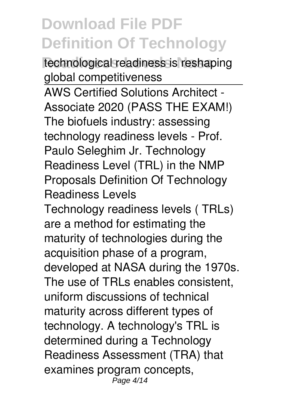**Readiness Levels Nasa** *technological readiness is reshaping global competitiveness* AWS Certified Solutions Architect - Associate 2020 (PASS THE EXAM!) The biofuels industry: assessing technology readiness levels - Prof. Paulo Seleghim Jr. *Technology Readiness Level (TRL) in the NMP Proposals Definition Of Technology Readiness Levels* Technology readiness levels ( TRLs) are a method for estimating the maturity of technologies during the acquisition phase of a program,

developed at NASA during the 1970s. The use of TRLs enables consistent, uniform discussions of technical maturity across different types of technology. A technology's TRL is determined during a Technology Readiness Assessment (TRA) that examines program concepts, Page 4/14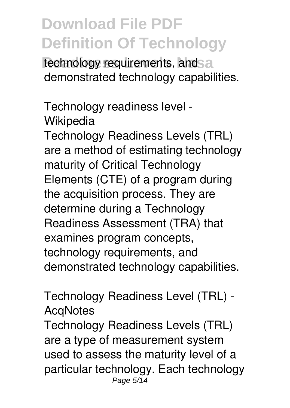**Reading Levels 1** requirements, and demonstrated technology capabilities.

*Technology readiness level - Wikipedia*

Technology Readiness Levels (TRL) are a method of estimating technology maturity of Critical Technology Elements (CTE) of a program during the acquisition process. They are determine during a Technology Readiness Assessment (TRA) that examines program concepts, technology requirements, and demonstrated technology capabilities.

*Technology Readiness Level (TRL) - AcqNotes*

Technology Readiness Levels (TRL) are a type of measurement system used to assess the maturity level of a particular technology. Each technology Page 5/14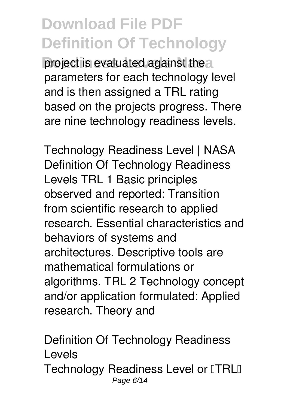**project is evaluated against thear** parameters for each technology level and is then assigned a TRL rating based on the projects progress. There are nine technology readiness levels.

*Technology Readiness Level | NASA* Definition Of Technology Readiness Levels TRL 1 Basic principles observed and reported: Transition from scientific research to applied research. Essential characteristics and behaviors of systems and architectures. Descriptive tools are mathematical formulations or algorithms. TRL 2 Technology concept and/or application formulated: Applied research. Theory and

*Definition Of Technology Readiness Levels* Technology Readiness Level or **TRL** Page 6/14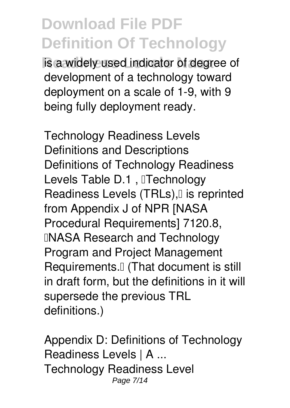**Reading Levels indicator of degree of** development of a technology toward deployment on a scale of 1-9, with 9 being fully deployment ready.

*Technology Readiness Levels Definitions and Descriptions* Definitions of Technology Readiness Levels Table D.1, **Technology** Readiness Levels (TRLs), [I is reprinted from Appendix J of NPR [NASA Procedural Requirements] 7120.8, **INASA Research and Technology** Program and Project Management Requirements.<sup>[]</sup> (That document is still in draft form, but the definitions in it will supersede the previous TRL definitions.)

*Appendix D: Definitions of Technology Readiness Levels | A ...* Technology Readiness Level Page 7/14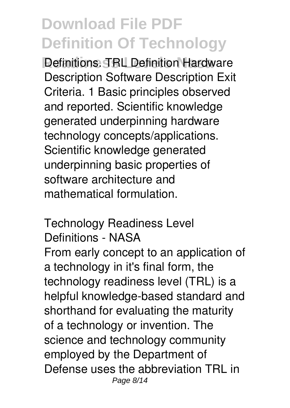**Refinitions. TRL Definition Hardware** Description Software Description Exit Criteria. 1 Basic principles observed and reported. Scientific knowledge generated underpinning hardware technology concepts/applications. Scientific knowledge generated underpinning basic properties of software architecture and mathematical formulation.

*Technology Readiness Level Definitions - NASA* From early concept to an application of a technology in it's final form, the technology readiness level (TRL) is a helpful knowledge-based standard and shorthand for evaluating the maturity of a technology or invention. The science and technology community employed by the Department of Defense uses the abbreviation TRL in Page 8/14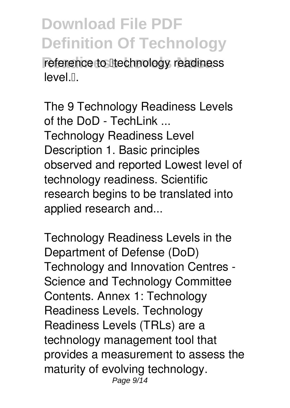reference to **Iltechnology** readiness level.<sup>[]</sup>.

*The 9 Technology Readiness Levels of the DoD - TechLink ...* Technology Readiness Level Description 1. Basic principles observed and reported Lowest level of technology readiness. Scientific research begins to be translated into applied research and...

*Technology Readiness Levels in the Department of Defense (DoD)* Technology and Innovation Centres - Science and Technology Committee Contents. Annex 1: Technology Readiness Levels. Technology Readiness Levels (TRLs) are a technology management tool that provides a measurement to assess the maturity of evolving technology. Page 9/14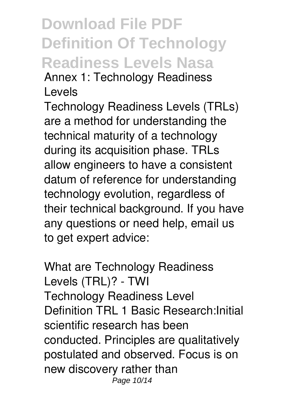#### **Download File PDF Definition Of Technology Readiness Levels Nasa** *Annex 1: Technology Readiness Levels*

Technology Readiness Levels (TRLs) are a method for understanding the technical maturity of a technology during its acquisition phase. TRLs allow engineers to have a consistent datum of reference for understanding technology evolution, regardless of their technical background. If you have any questions or need help, email us to get expert advice:

*What are Technology Readiness Levels (TRL)? - TWI* Technology Readiness Level Definition TRL 1 Basic Research:Initial scientific research has been conducted. Principles are qualitatively postulated and observed. Focus is on new discovery rather than Page 10/14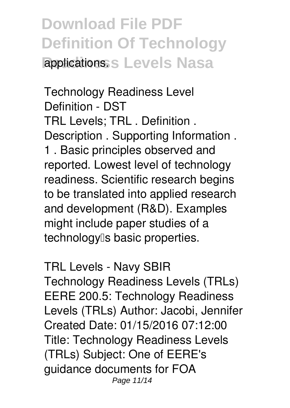#### **Download File PDF Definition Of Technology Replications: S Levels Nasa**

*Technology Readiness Level Definition - DST* TRL Levels; TRL . Definition . Description . Supporting Information . 1 . Basic principles observed and reported. Lowest level of technology readiness. Scientific research begins to be translated into applied research and development (R&D). Examples might include paper studies of a technology<sup>[</sup>s basic properties.

*TRL Levels - Navy SBIR* Technology Readiness Levels (TRLs) EERE 200.5: Technology Readiness Levels (TRLs) Author: Jacobi, Jennifer Created Date: 01/15/2016 07:12:00 Title: Technology Readiness Levels (TRLs) Subject: One of EERE's guidance documents for FOA Page 11/14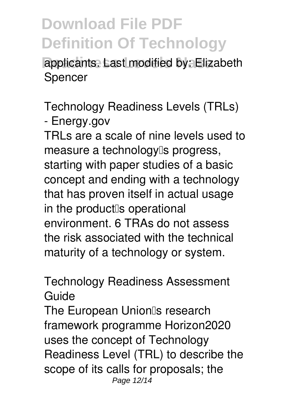applicants. Last modified by: Elizabeth Spencer

*Technology Readiness Levels (TRLs) - Energy.gov*

TRLs are a scale of nine levels used to measure a technology<sup>[]</sup>s progress, starting with paper studies of a basic concept and ending with a technology that has proven itself in actual usage in the product<sup>[</sup>s operational] environment. 6 TRAs do not assess the risk associated with the technical maturity of a technology or system.

#### *Technology Readiness Assessment Guide*

The European Union<sup>®</sup>s research framework programme Horizon2020 uses the concept of Technology Readiness Level (TRL) to describe the scope of its calls for proposals; the Page 12/14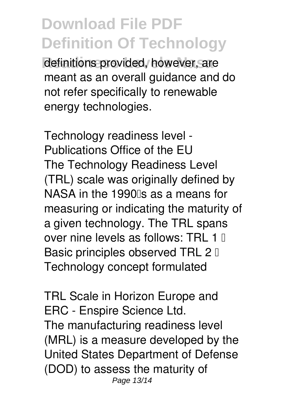definitions provided, however, are meant as an overall guidance and do not refer specifically to renewable energy technologies.

*Technology readiness level - Publications Office of the EU* The Technology Readiness Level (TRL) scale was originally defined by NASA in the 1990 s as a means for measuring or indicating the maturity of a given technology. The TRL spans over nine levels as follows: TRL 1  $\Box$ Basic principles observed TRL  $2 \mathbb{I}$ Technology concept formulated

*TRL Scale in Horizon Europe and ERC - Enspire Science Ltd.* The manufacturing readiness level (MRL) is a measure developed by the United States Department of Defense (DOD) to assess the maturity of Page 13/14